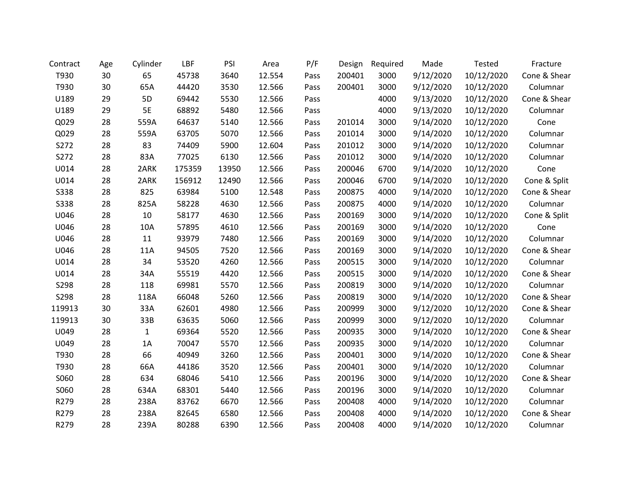| Contract    | Age | Cylinder | LBF    | PSI   | Area   | P/F  | Design | Required | Made      | Tested     | Fracture     |
|-------------|-----|----------|--------|-------|--------|------|--------|----------|-----------|------------|--------------|
| T930        | 30  | 65       | 45738  | 3640  | 12.554 | Pass | 200401 | 3000     | 9/12/2020 | 10/12/2020 | Cone & Shear |
| T930        | 30  | 65A      | 44420  | 3530  | 12.566 | Pass | 200401 | 3000     | 9/12/2020 | 10/12/2020 | Columnar     |
| U189        | 29  | 5D       | 69442  | 5530  | 12.566 | Pass |        | 4000     | 9/13/2020 | 10/12/2020 | Cone & Shear |
| U189        | 29  | 5E       | 68892  | 5480  | 12.566 | Pass |        | 4000     | 9/13/2020 | 10/12/2020 | Columnar     |
| Q029        | 28  | 559A     | 64637  | 5140  | 12.566 | Pass | 201014 | 3000     | 9/14/2020 | 10/12/2020 | Cone         |
| Q029        | 28  | 559A     | 63705  | 5070  | 12.566 | Pass | 201014 | 3000     | 9/14/2020 | 10/12/2020 | Columnar     |
| S272        | 28  | 83       | 74409  | 5900  | 12.604 | Pass | 201012 | 3000     | 9/14/2020 | 10/12/2020 | Columnar     |
| S272        | 28  | 83A      | 77025  | 6130  | 12.566 | Pass | 201012 | 3000     | 9/14/2020 | 10/12/2020 | Columnar     |
| U014        | 28  | 2ARK     | 175359 | 13950 | 12.566 | Pass | 200046 | 6700     | 9/14/2020 | 10/12/2020 | Cone         |
| U014        | 28  | 2ARK     | 156912 | 12490 | 12.566 | Pass | 200046 | 6700     | 9/14/2020 | 10/12/2020 | Cone & Split |
| <b>S338</b> | 28  | 825      | 63984  | 5100  | 12.548 | Pass | 200875 | 4000     | 9/14/2020 | 10/12/2020 | Cone & Shear |
| <b>S338</b> | 28  | 825A     | 58228  | 4630  | 12.566 | Pass | 200875 | 4000     | 9/14/2020 | 10/12/2020 | Columnar     |
| U046        | 28  | 10       | 58177  | 4630  | 12.566 | Pass | 200169 | 3000     | 9/14/2020 | 10/12/2020 | Cone & Split |
| U046        | 28  | 10A      | 57895  | 4610  | 12.566 | Pass | 200169 | 3000     | 9/14/2020 | 10/12/2020 | Cone         |
| U046        | 28  | 11       | 93979  | 7480  | 12.566 | Pass | 200169 | 3000     | 9/14/2020 | 10/12/2020 | Columnar     |
| U046        | 28  | 11A      | 94505  | 7520  | 12.566 | Pass | 200169 | 3000     | 9/14/2020 | 10/12/2020 | Cone & Shear |
| U014        | 28  | 34       | 53520  | 4260  | 12.566 | Pass | 200515 | 3000     | 9/14/2020 | 10/12/2020 | Columnar     |
| U014        | 28  | 34A      | 55519  | 4420  | 12.566 | Pass | 200515 | 3000     | 9/14/2020 | 10/12/2020 | Cone & Shear |
| S298        | 28  | 118      | 69981  | 5570  | 12.566 | Pass | 200819 | 3000     | 9/14/2020 | 10/12/2020 | Columnar     |
| S298        | 28  | 118A     | 66048  | 5260  | 12.566 | Pass | 200819 | 3000     | 9/14/2020 | 10/12/2020 | Cone & Shear |
| 119913      | 30  | 33A      | 62601  | 4980  | 12.566 | Pass | 200999 | 3000     | 9/12/2020 | 10/12/2020 | Cone & Shear |
| 119913      | 30  | 33B      | 63635  | 5060  | 12.566 | Pass | 200999 | 3000     | 9/12/2020 | 10/12/2020 | Columnar     |
| U049        | 28  | 1        | 69364  | 5520  | 12.566 | Pass | 200935 | 3000     | 9/14/2020 | 10/12/2020 | Cone & Shear |
| U049        | 28  | 1A       | 70047  | 5570  | 12.566 | Pass | 200935 | 3000     | 9/14/2020 | 10/12/2020 | Columnar     |
| T930        | 28  | 66       | 40949  | 3260  | 12.566 | Pass | 200401 | 3000     | 9/14/2020 | 10/12/2020 | Cone & Shear |
| T930        | 28  | 66A      | 44186  | 3520  | 12.566 | Pass | 200401 | 3000     | 9/14/2020 | 10/12/2020 | Columnar     |
| S060        | 28  | 634      | 68046  | 5410  | 12.566 | Pass | 200196 | 3000     | 9/14/2020 | 10/12/2020 | Cone & Shear |
| S060        | 28  | 634A     | 68301  | 5440  | 12.566 | Pass | 200196 | 3000     | 9/14/2020 | 10/12/2020 | Columnar     |
| R279        | 28  | 238A     | 83762  | 6670  | 12.566 | Pass | 200408 | 4000     | 9/14/2020 | 10/12/2020 | Columnar     |
| R279        | 28  | 238A     | 82645  | 6580  | 12.566 | Pass | 200408 | 4000     | 9/14/2020 | 10/12/2020 | Cone & Shear |
| R279        | 28  | 239A     | 80288  | 6390  | 12.566 | Pass | 200408 | 4000     | 9/14/2020 | 10/12/2020 | Columnar     |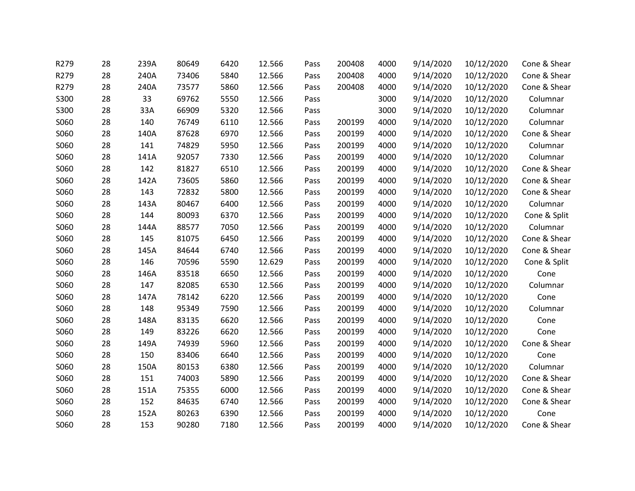| R279 | 28 | 239A | 80649 | 6420 | 12.566 | Pass | 200408 | 4000 | 9/14/2020 | 10/12/2020 | Cone & Shear |
|------|----|------|-------|------|--------|------|--------|------|-----------|------------|--------------|
| R279 | 28 | 240A | 73406 | 5840 | 12.566 | Pass | 200408 | 4000 | 9/14/2020 | 10/12/2020 | Cone & Shear |
| R279 | 28 | 240A | 73577 | 5860 | 12.566 | Pass | 200408 | 4000 | 9/14/2020 | 10/12/2020 | Cone & Shear |
| S300 | 28 | 33   | 69762 | 5550 | 12.566 | Pass |        | 3000 | 9/14/2020 | 10/12/2020 | Columnar     |
| S300 | 28 | 33A  | 66909 | 5320 | 12.566 | Pass |        | 3000 | 9/14/2020 | 10/12/2020 | Columnar     |
| S060 | 28 | 140  | 76749 | 6110 | 12.566 | Pass | 200199 | 4000 | 9/14/2020 | 10/12/2020 | Columnar     |
| S060 | 28 | 140A | 87628 | 6970 | 12.566 | Pass | 200199 | 4000 | 9/14/2020 | 10/12/2020 | Cone & Shear |
| S060 | 28 | 141  | 74829 | 5950 | 12.566 | Pass | 200199 | 4000 | 9/14/2020 | 10/12/2020 | Columnar     |
| S060 | 28 | 141A | 92057 | 7330 | 12.566 | Pass | 200199 | 4000 | 9/14/2020 | 10/12/2020 | Columnar     |
| S060 | 28 | 142  | 81827 | 6510 | 12.566 | Pass | 200199 | 4000 | 9/14/2020 | 10/12/2020 | Cone & Shear |
| S060 | 28 | 142A | 73605 | 5860 | 12.566 | Pass | 200199 | 4000 | 9/14/2020 | 10/12/2020 | Cone & Shear |
| S060 | 28 | 143  | 72832 | 5800 | 12.566 | Pass | 200199 | 4000 | 9/14/2020 | 10/12/2020 | Cone & Shear |
| S060 | 28 | 143A | 80467 | 6400 | 12.566 | Pass | 200199 | 4000 | 9/14/2020 | 10/12/2020 | Columnar     |
| S060 | 28 | 144  | 80093 | 6370 | 12.566 | Pass | 200199 | 4000 | 9/14/2020 | 10/12/2020 | Cone & Split |
| S060 | 28 | 144A | 88577 | 7050 | 12.566 | Pass | 200199 | 4000 | 9/14/2020 | 10/12/2020 | Columnar     |
| S060 | 28 | 145  | 81075 | 6450 | 12.566 | Pass | 200199 | 4000 | 9/14/2020 | 10/12/2020 | Cone & Shear |
| S060 | 28 | 145A | 84644 | 6740 | 12.566 | Pass | 200199 | 4000 | 9/14/2020 | 10/12/2020 | Cone & Shear |
| S060 | 28 | 146  | 70596 | 5590 | 12.629 | Pass | 200199 | 4000 | 9/14/2020 | 10/12/2020 | Cone & Split |
| S060 | 28 | 146A | 83518 | 6650 | 12.566 | Pass | 200199 | 4000 | 9/14/2020 | 10/12/2020 | Cone         |
| S060 | 28 | 147  | 82085 | 6530 | 12.566 | Pass | 200199 | 4000 | 9/14/2020 | 10/12/2020 | Columnar     |
| S060 | 28 | 147A | 78142 | 6220 | 12.566 | Pass | 200199 | 4000 | 9/14/2020 | 10/12/2020 | Cone         |
| S060 | 28 | 148  | 95349 | 7590 | 12.566 | Pass | 200199 | 4000 | 9/14/2020 | 10/12/2020 | Columnar     |
| S060 | 28 | 148A | 83135 | 6620 | 12.566 | Pass | 200199 | 4000 | 9/14/2020 | 10/12/2020 | Cone         |
| S060 | 28 | 149  | 83226 | 6620 | 12.566 | Pass | 200199 | 4000 | 9/14/2020 | 10/12/2020 | Cone         |
| S060 | 28 | 149A | 74939 | 5960 | 12.566 | Pass | 200199 | 4000 | 9/14/2020 | 10/12/2020 | Cone & Shear |
| S060 | 28 | 150  | 83406 | 6640 | 12.566 | Pass | 200199 | 4000 | 9/14/2020 | 10/12/2020 | Cone         |
| S060 | 28 | 150A | 80153 | 6380 | 12.566 | Pass | 200199 | 4000 | 9/14/2020 | 10/12/2020 | Columnar     |
| S060 | 28 | 151  | 74003 | 5890 | 12.566 | Pass | 200199 | 4000 | 9/14/2020 | 10/12/2020 | Cone & Shear |
| S060 | 28 | 151A | 75355 | 6000 | 12.566 | Pass | 200199 | 4000 | 9/14/2020 | 10/12/2020 | Cone & Shear |
| S060 | 28 | 152  | 84635 | 6740 | 12.566 | Pass | 200199 | 4000 | 9/14/2020 | 10/12/2020 | Cone & Shear |
| S060 | 28 | 152A | 80263 | 6390 | 12.566 | Pass | 200199 | 4000 | 9/14/2020 | 10/12/2020 | Cone         |
| S060 | 28 | 153  | 90280 | 7180 | 12.566 | Pass | 200199 | 4000 | 9/14/2020 | 10/12/2020 | Cone & Shear |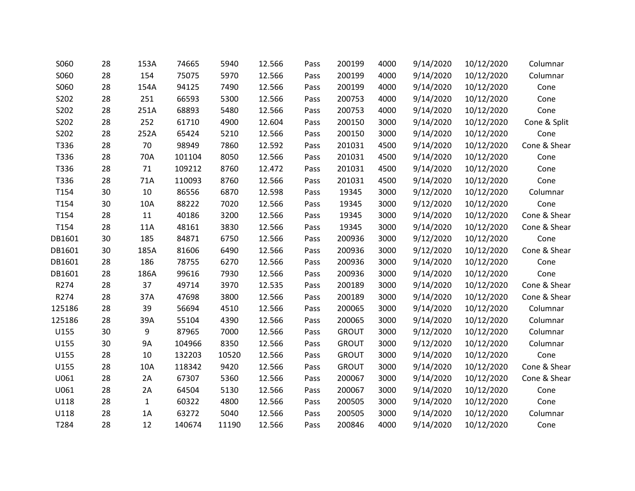| S060   | 28 | 153A         | 74665  | 5940  | 12.566 | Pass | 200199       | 4000 | 9/14/2020 | 10/12/2020 | Columnar     |
|--------|----|--------------|--------|-------|--------|------|--------------|------|-----------|------------|--------------|
| S060   | 28 | 154          | 75075  | 5970  | 12.566 | Pass | 200199       | 4000 | 9/14/2020 | 10/12/2020 | Columnar     |
| S060   | 28 | 154A         | 94125  | 7490  | 12.566 | Pass | 200199       | 4000 | 9/14/2020 | 10/12/2020 | Cone         |
| S202   | 28 | 251          | 66593  | 5300  | 12.566 | Pass | 200753       | 4000 | 9/14/2020 | 10/12/2020 | Cone         |
| S202   | 28 | 251A         | 68893  | 5480  | 12.566 | Pass | 200753       | 4000 | 9/14/2020 | 10/12/2020 | Cone         |
| S202   | 28 | 252          | 61710  | 4900  | 12.604 | Pass | 200150       | 3000 | 9/14/2020 | 10/12/2020 | Cone & Split |
| S202   | 28 | 252A         | 65424  | 5210  | 12.566 | Pass | 200150       | 3000 | 9/14/2020 | 10/12/2020 | Cone         |
| T336   | 28 | 70           | 98949  | 7860  | 12.592 | Pass | 201031       | 4500 | 9/14/2020 | 10/12/2020 | Cone & Shear |
| T336   | 28 | 70A          | 101104 | 8050  | 12.566 | Pass | 201031       | 4500 | 9/14/2020 | 10/12/2020 | Cone         |
| T336   | 28 | 71           | 109212 | 8760  | 12.472 | Pass | 201031       | 4500 | 9/14/2020 | 10/12/2020 | Cone         |
| T336   | 28 | 71A          | 110093 | 8760  | 12.566 | Pass | 201031       | 4500 | 9/14/2020 | 10/12/2020 | Cone         |
| T154   | 30 | 10           | 86556  | 6870  | 12.598 | Pass | 19345        | 3000 | 9/12/2020 | 10/12/2020 | Columnar     |
| T154   | 30 | 10A          | 88222  | 7020  | 12.566 | Pass | 19345        | 3000 | 9/12/2020 | 10/12/2020 | Cone         |
| T154   | 28 | 11           | 40186  | 3200  | 12.566 | Pass | 19345        | 3000 | 9/14/2020 | 10/12/2020 | Cone & Shear |
| T154   | 28 | 11A          | 48161  | 3830  | 12.566 | Pass | 19345        | 3000 | 9/14/2020 | 10/12/2020 | Cone & Shear |
| DB1601 | 30 | 185          | 84871  | 6750  | 12.566 | Pass | 200936       | 3000 | 9/12/2020 | 10/12/2020 | Cone         |
| DB1601 | 30 | 185A         | 81606  | 6490  | 12.566 | Pass | 200936       | 3000 | 9/12/2020 | 10/12/2020 | Cone & Shear |
| DB1601 | 28 | 186          | 78755  | 6270  | 12.566 | Pass | 200936       | 3000 | 9/14/2020 | 10/12/2020 | Cone         |
| DB1601 | 28 | 186A         | 99616  | 7930  | 12.566 | Pass | 200936       | 3000 | 9/14/2020 | 10/12/2020 | Cone         |
| R274   | 28 | 37           | 49714  | 3970  | 12.535 | Pass | 200189       | 3000 | 9/14/2020 | 10/12/2020 | Cone & Shear |
| R274   | 28 | 37A          | 47698  | 3800  | 12.566 | Pass | 200189       | 3000 | 9/14/2020 | 10/12/2020 | Cone & Shear |
| 125186 | 28 | 39           | 56694  | 4510  | 12.566 | Pass | 200065       | 3000 | 9/14/2020 | 10/12/2020 | Columnar     |
| 125186 | 28 | 39A          | 55104  | 4390  | 12.566 | Pass | 200065       | 3000 | 9/14/2020 | 10/12/2020 | Columnar     |
| U155   | 30 | 9            | 87965  | 7000  | 12.566 | Pass | <b>GROUT</b> | 3000 | 9/12/2020 | 10/12/2020 | Columnar     |
| U155   | 30 | <b>9A</b>    | 104966 | 8350  | 12.566 | Pass | <b>GROUT</b> | 3000 | 9/12/2020 | 10/12/2020 | Columnar     |
| U155   | 28 | 10           | 132203 | 10520 | 12.566 | Pass | <b>GROUT</b> | 3000 | 9/14/2020 | 10/12/2020 | Cone         |
| U155   | 28 | 10A          | 118342 | 9420  | 12.566 | Pass | <b>GROUT</b> | 3000 | 9/14/2020 | 10/12/2020 | Cone & Shear |
| U061   | 28 | 2A           | 67307  | 5360  | 12.566 | Pass | 200067       | 3000 | 9/14/2020 | 10/12/2020 | Cone & Shear |
| U061   | 28 | 2A           | 64504  | 5130  | 12.566 | Pass | 200067       | 3000 | 9/14/2020 | 10/12/2020 | Cone         |
| U118   | 28 | $\mathbf{1}$ | 60322  | 4800  | 12.566 | Pass | 200505       | 3000 | 9/14/2020 | 10/12/2020 | Cone         |
| U118   | 28 | 1A           | 63272  | 5040  | 12.566 | Pass | 200505       | 3000 | 9/14/2020 | 10/12/2020 | Columnar     |
| T284   | 28 | 12           | 140674 | 11190 | 12.566 | Pass | 200846       | 4000 | 9/14/2020 | 10/12/2020 | Cone         |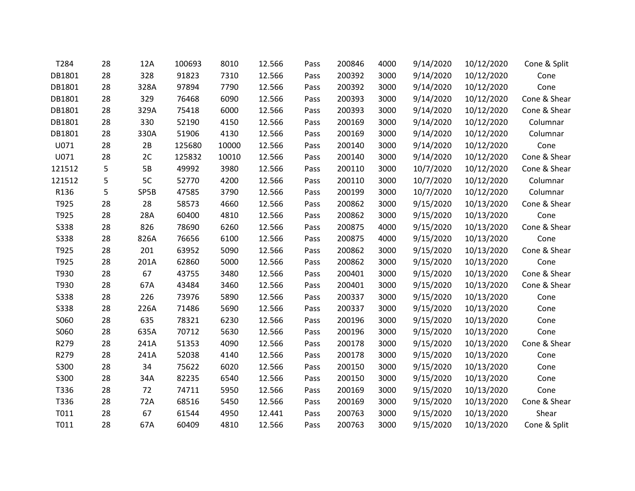| T284        | 28 | 12A  | 100693 | 8010  | 12.566 | Pass | 200846 | 4000 | 9/14/2020 | 10/12/2020 | Cone & Split |
|-------------|----|------|--------|-------|--------|------|--------|------|-----------|------------|--------------|
| DB1801      | 28 | 328  | 91823  | 7310  | 12.566 | Pass | 200392 | 3000 | 9/14/2020 | 10/12/2020 | Cone         |
| DB1801      | 28 | 328A | 97894  | 7790  | 12.566 | Pass | 200392 | 3000 | 9/14/2020 | 10/12/2020 | Cone         |
| DB1801      | 28 | 329  | 76468  | 6090  | 12.566 | Pass | 200393 | 3000 | 9/14/2020 | 10/12/2020 | Cone & Shear |
| DB1801      | 28 | 329A | 75418  | 6000  | 12.566 | Pass | 200393 | 3000 | 9/14/2020 | 10/12/2020 | Cone & Shear |
| DB1801      | 28 | 330  | 52190  | 4150  | 12.566 | Pass | 200169 | 3000 | 9/14/2020 | 10/12/2020 | Columnar     |
| DB1801      | 28 | 330A | 51906  | 4130  | 12.566 | Pass | 200169 | 3000 | 9/14/2020 | 10/12/2020 | Columnar     |
| U071        | 28 | 2B   | 125680 | 10000 | 12.566 | Pass | 200140 | 3000 | 9/14/2020 | 10/12/2020 | Cone         |
| U071        | 28 | 2C   | 125832 | 10010 | 12.566 | Pass | 200140 | 3000 | 9/14/2020 | 10/12/2020 | Cone & Shear |
| 121512      | 5  | 5B   | 49992  | 3980  | 12.566 | Pass | 200110 | 3000 | 10/7/2020 | 10/12/2020 | Cone & Shear |
| 121512      | 5  | 5C   | 52770  | 4200  | 12.566 | Pass | 200110 | 3000 | 10/7/2020 | 10/12/2020 | Columnar     |
| R136        | 5  | SP5B | 47585  | 3790  | 12.566 | Pass | 200199 | 3000 | 10/7/2020 | 10/12/2020 | Columnar     |
| T925        | 28 | 28   | 58573  | 4660  | 12.566 | Pass | 200862 | 3000 | 9/15/2020 | 10/13/2020 | Cone & Shear |
| T925        | 28 | 28A  | 60400  | 4810  | 12.566 | Pass | 200862 | 3000 | 9/15/2020 | 10/13/2020 | Cone         |
| <b>S338</b> | 28 | 826  | 78690  | 6260  | 12.566 | Pass | 200875 | 4000 | 9/15/2020 | 10/13/2020 | Cone & Shear |
| <b>S338</b> | 28 | 826A | 76656  | 6100  | 12.566 | Pass | 200875 | 4000 | 9/15/2020 | 10/13/2020 | Cone         |
| T925        | 28 | 201  | 63952  | 5090  | 12.566 | Pass | 200862 | 3000 | 9/15/2020 | 10/13/2020 | Cone & Shear |
| T925        | 28 | 201A | 62860  | 5000  | 12.566 | Pass | 200862 | 3000 | 9/15/2020 | 10/13/2020 | Cone         |
| T930        | 28 | 67   | 43755  | 3480  | 12.566 | Pass | 200401 | 3000 | 9/15/2020 | 10/13/2020 | Cone & Shear |
| T930        | 28 | 67A  | 43484  | 3460  | 12.566 | Pass | 200401 | 3000 | 9/15/2020 | 10/13/2020 | Cone & Shear |
| <b>S338</b> | 28 | 226  | 73976  | 5890  | 12.566 | Pass | 200337 | 3000 | 9/15/2020 | 10/13/2020 | Cone         |
| <b>S338</b> | 28 | 226A | 71486  | 5690  | 12.566 | Pass | 200337 | 3000 | 9/15/2020 | 10/13/2020 | Cone         |
| S060        | 28 | 635  | 78321  | 6230  | 12.566 | Pass | 200196 | 3000 | 9/15/2020 | 10/13/2020 | Cone         |
| S060        | 28 | 635A | 70712  | 5630  | 12.566 | Pass | 200196 | 3000 | 9/15/2020 | 10/13/2020 | Cone         |
| R279        | 28 | 241A | 51353  | 4090  | 12.566 | Pass | 200178 | 3000 | 9/15/2020 | 10/13/2020 | Cone & Shear |
| R279        | 28 | 241A | 52038  | 4140  | 12.566 | Pass | 200178 | 3000 | 9/15/2020 | 10/13/2020 | Cone         |
| S300        | 28 | 34   | 75622  | 6020  | 12.566 | Pass | 200150 | 3000 | 9/15/2020 | 10/13/2020 | Cone         |
| S300        | 28 | 34A  | 82235  | 6540  | 12.566 | Pass | 200150 | 3000 | 9/15/2020 | 10/13/2020 | Cone         |
| T336        | 28 | 72   | 74711  | 5950  | 12.566 | Pass | 200169 | 3000 | 9/15/2020 | 10/13/2020 | Cone         |
| T336        | 28 | 72A  | 68516  | 5450  | 12.566 | Pass | 200169 | 3000 | 9/15/2020 | 10/13/2020 | Cone & Shear |
| T011        | 28 | 67   | 61544  | 4950  | 12.441 | Pass | 200763 | 3000 | 9/15/2020 | 10/13/2020 | Shear        |
| T011        | 28 | 67A  | 60409  | 4810  | 12.566 | Pass | 200763 | 3000 | 9/15/2020 | 10/13/2020 | Cone & Split |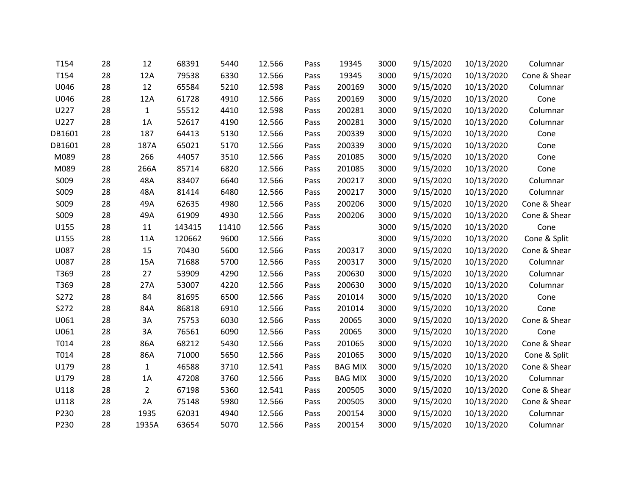| T154   | 28 | 12             | 68391  | 5440  | 12.566 | Pass | 19345          | 3000 | 9/15/2020 | 10/13/2020 | Columnar     |
|--------|----|----------------|--------|-------|--------|------|----------------|------|-----------|------------|--------------|
| T154   | 28 | 12A            | 79538  | 6330  | 12.566 | Pass | 19345          | 3000 | 9/15/2020 | 10/13/2020 | Cone & Shear |
| U046   | 28 | 12             | 65584  | 5210  | 12.598 | Pass | 200169         | 3000 | 9/15/2020 | 10/13/2020 | Columnar     |
| U046   | 28 | 12A            | 61728  | 4910  | 12.566 | Pass | 200169         | 3000 | 9/15/2020 | 10/13/2020 | Cone         |
| U227   | 28 | $\mathbf{1}$   | 55512  | 4410  | 12.598 | Pass | 200281         | 3000 | 9/15/2020 | 10/13/2020 | Columnar     |
| U227   | 28 | 1A             | 52617  | 4190  | 12.566 | Pass | 200281         | 3000 | 9/15/2020 | 10/13/2020 | Columnar     |
| DB1601 | 28 | 187            | 64413  | 5130  | 12.566 | Pass | 200339         | 3000 | 9/15/2020 | 10/13/2020 | Cone         |
| DB1601 | 28 | 187A           | 65021  | 5170  | 12.566 | Pass | 200339         | 3000 | 9/15/2020 | 10/13/2020 | Cone         |
| M089   | 28 | 266            | 44057  | 3510  | 12.566 | Pass | 201085         | 3000 | 9/15/2020 | 10/13/2020 | Cone         |
| M089   | 28 | 266A           | 85714  | 6820  | 12.566 | Pass | 201085         | 3000 | 9/15/2020 | 10/13/2020 | Cone         |
| S009   | 28 | 48A            | 83407  | 6640  | 12.566 | Pass | 200217         | 3000 | 9/15/2020 | 10/13/2020 | Columnar     |
| S009   | 28 | 48A            | 81414  | 6480  | 12.566 | Pass | 200217         | 3000 | 9/15/2020 | 10/13/2020 | Columnar     |
| S009   | 28 | 49A            | 62635  | 4980  | 12.566 | Pass | 200206         | 3000 | 9/15/2020 | 10/13/2020 | Cone & Shear |
| S009   | 28 | 49A            | 61909  | 4930  | 12.566 | Pass | 200206         | 3000 | 9/15/2020 | 10/13/2020 | Cone & Shear |
| U155   | 28 | 11             | 143415 | 11410 | 12.566 | Pass |                | 3000 | 9/15/2020 | 10/13/2020 | Cone         |
| U155   | 28 | 11A            | 120662 | 9600  | 12.566 | Pass |                | 3000 | 9/15/2020 | 10/13/2020 | Cone & Split |
| U087   | 28 | 15             | 70430  | 5600  | 12.566 | Pass | 200317         | 3000 | 9/15/2020 | 10/13/2020 | Cone & Shear |
| U087   | 28 | 15A            | 71688  | 5700  | 12.566 | Pass | 200317         | 3000 | 9/15/2020 | 10/13/2020 | Columnar     |
| T369   | 28 | 27             | 53909  | 4290  | 12.566 | Pass | 200630         | 3000 | 9/15/2020 | 10/13/2020 | Columnar     |
| T369   | 28 | 27A            | 53007  | 4220  | 12.566 | Pass | 200630         | 3000 | 9/15/2020 | 10/13/2020 | Columnar     |
| S272   | 28 | 84             | 81695  | 6500  | 12.566 | Pass | 201014         | 3000 | 9/15/2020 | 10/13/2020 | Cone         |
| S272   | 28 | 84A            | 86818  | 6910  | 12.566 | Pass | 201014         | 3000 | 9/15/2020 | 10/13/2020 | Cone         |
| U061   | 28 | 3A             | 75753  | 6030  | 12.566 | Pass | 20065          | 3000 | 9/15/2020 | 10/13/2020 | Cone & Shear |
| U061   | 28 | 3A             | 76561  | 6090  | 12.566 | Pass | 20065          | 3000 | 9/15/2020 | 10/13/2020 | Cone         |
| T014   | 28 | 86A            | 68212  | 5430  | 12.566 | Pass | 201065         | 3000 | 9/15/2020 | 10/13/2020 | Cone & Shear |
| T014   | 28 | 86A            | 71000  | 5650  | 12.566 | Pass | 201065         | 3000 | 9/15/2020 | 10/13/2020 | Cone & Split |
| U179   | 28 | $\mathbf{1}$   | 46588  | 3710  | 12.541 | Pass | <b>BAG MIX</b> | 3000 | 9/15/2020 | 10/13/2020 | Cone & Shear |
| U179   | 28 | 1A             | 47208  | 3760  | 12.566 | Pass | <b>BAG MIX</b> | 3000 | 9/15/2020 | 10/13/2020 | Columnar     |
| U118   | 28 | $\overline{2}$ | 67198  | 5360  | 12.541 | Pass | 200505         | 3000 | 9/15/2020 | 10/13/2020 | Cone & Shear |
| U118   | 28 | 2A             | 75148  | 5980  | 12.566 | Pass | 200505         | 3000 | 9/15/2020 | 10/13/2020 | Cone & Shear |
| P230   | 28 | 1935           | 62031  | 4940  | 12.566 | Pass | 200154         | 3000 | 9/15/2020 | 10/13/2020 | Columnar     |
| P230   | 28 | 1935A          | 63654  | 5070  | 12.566 | Pass | 200154         | 3000 | 9/15/2020 | 10/13/2020 | Columnar     |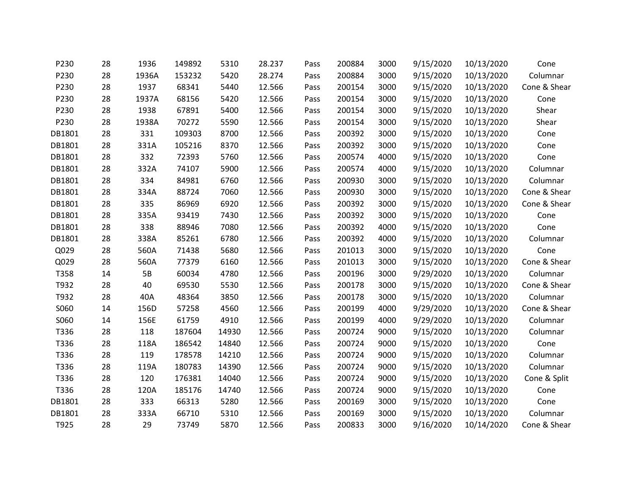| P230   | 28 | 1936  | 149892 | 5310  | 28.237 | Pass | 200884 | 3000 | 9/15/2020 | 10/13/2020 | Cone         |
|--------|----|-------|--------|-------|--------|------|--------|------|-----------|------------|--------------|
| P230   | 28 | 1936A | 153232 | 5420  | 28.274 | Pass | 200884 | 3000 | 9/15/2020 | 10/13/2020 | Columnar     |
| P230   | 28 | 1937  | 68341  | 5440  | 12.566 | Pass | 200154 | 3000 | 9/15/2020 | 10/13/2020 | Cone & Shear |
| P230   | 28 | 1937A | 68156  | 5420  | 12.566 | Pass | 200154 | 3000 | 9/15/2020 | 10/13/2020 | Cone         |
| P230   | 28 | 1938  | 67891  | 5400  | 12.566 | Pass | 200154 | 3000 | 9/15/2020 | 10/13/2020 | Shear        |
| P230   | 28 | 1938A | 70272  | 5590  | 12.566 | Pass | 200154 | 3000 | 9/15/2020 | 10/13/2020 | Shear        |
| DB1801 | 28 | 331   | 109303 | 8700  | 12.566 | Pass | 200392 | 3000 | 9/15/2020 | 10/13/2020 | Cone         |
| DB1801 | 28 | 331A  | 105216 | 8370  | 12.566 | Pass | 200392 | 3000 | 9/15/2020 | 10/13/2020 | Cone         |
| DB1801 | 28 | 332   | 72393  | 5760  | 12.566 | Pass | 200574 | 4000 | 9/15/2020 | 10/13/2020 | Cone         |
| DB1801 | 28 | 332A  | 74107  | 5900  | 12.566 | Pass | 200574 | 4000 | 9/15/2020 | 10/13/2020 | Columnar     |
| DB1801 | 28 | 334   | 84981  | 6760  | 12.566 | Pass | 200930 | 3000 | 9/15/2020 | 10/13/2020 | Columnar     |
| DB1801 | 28 | 334A  | 88724  | 7060  | 12.566 | Pass | 200930 | 3000 | 9/15/2020 | 10/13/2020 | Cone & Shear |
| DB1801 | 28 | 335   | 86969  | 6920  | 12.566 | Pass | 200392 | 3000 | 9/15/2020 | 10/13/2020 | Cone & Shear |
| DB1801 | 28 | 335A  | 93419  | 7430  | 12.566 | Pass | 200392 | 3000 | 9/15/2020 | 10/13/2020 | Cone         |
| DB1801 | 28 | 338   | 88946  | 7080  | 12.566 | Pass | 200392 | 4000 | 9/15/2020 | 10/13/2020 | Cone         |
| DB1801 | 28 | 338A  | 85261  | 6780  | 12.566 | Pass | 200392 | 4000 | 9/15/2020 | 10/13/2020 | Columnar     |
| Q029   | 28 | 560A  | 71438  | 5680  | 12.566 | Pass | 201013 | 3000 | 9/15/2020 | 10/13/2020 | Cone         |
| Q029   | 28 | 560A  | 77379  | 6160  | 12.566 | Pass | 201013 | 3000 | 9/15/2020 | 10/13/2020 | Cone & Shear |
| T358   | 14 | 5B    | 60034  | 4780  | 12.566 | Pass | 200196 | 3000 | 9/29/2020 | 10/13/2020 | Columnar     |
| T932   | 28 | 40    | 69530  | 5530  | 12.566 | Pass | 200178 | 3000 | 9/15/2020 | 10/13/2020 | Cone & Shear |
| T932   | 28 | 40A   | 48364  | 3850  | 12.566 | Pass | 200178 | 3000 | 9/15/2020 | 10/13/2020 | Columnar     |
| S060   | 14 | 156D  | 57258  | 4560  | 12.566 | Pass | 200199 | 4000 | 9/29/2020 | 10/13/2020 | Cone & Shear |
| S060   | 14 | 156E  | 61759  | 4910  | 12.566 | Pass | 200199 | 4000 | 9/29/2020 | 10/13/2020 | Columnar     |
| T336   | 28 | 118   | 187604 | 14930 | 12.566 | Pass | 200724 | 9000 | 9/15/2020 | 10/13/2020 | Columnar     |
| T336   | 28 | 118A  | 186542 | 14840 | 12.566 | Pass | 200724 | 9000 | 9/15/2020 | 10/13/2020 | Cone         |
| T336   | 28 | 119   | 178578 | 14210 | 12.566 | Pass | 200724 | 9000 | 9/15/2020 | 10/13/2020 | Columnar     |
| T336   | 28 | 119A  | 180783 | 14390 | 12.566 | Pass | 200724 | 9000 | 9/15/2020 | 10/13/2020 | Columnar     |
| T336   | 28 | 120   | 176381 | 14040 | 12.566 | Pass | 200724 | 9000 | 9/15/2020 | 10/13/2020 | Cone & Split |
| T336   | 28 | 120A  | 185176 | 14740 | 12.566 | Pass | 200724 | 9000 | 9/15/2020 | 10/13/2020 | Cone         |
| DB1801 | 28 | 333   | 66313  | 5280  | 12.566 | Pass | 200169 | 3000 | 9/15/2020 | 10/13/2020 | Cone         |
| DB1801 | 28 | 333A  | 66710  | 5310  | 12.566 | Pass | 200169 | 3000 | 9/15/2020 | 10/13/2020 | Columnar     |
| T925   | 28 | 29    | 73749  | 5870  | 12.566 | Pass | 200833 | 3000 | 9/16/2020 | 10/14/2020 | Cone & Shear |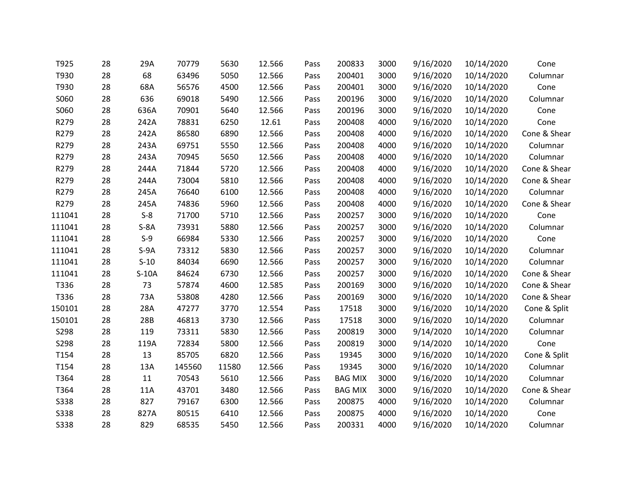| T925        | 28 | 29A     | 70779  | 5630  | 12.566 | Pass | 200833         | 3000 | 9/16/2020 | 10/14/2020 | Cone         |
|-------------|----|---------|--------|-------|--------|------|----------------|------|-----------|------------|--------------|
| T930        | 28 | 68      | 63496  | 5050  | 12.566 | Pass | 200401         | 3000 | 9/16/2020 | 10/14/2020 | Columnar     |
| T930        | 28 | 68A     | 56576  | 4500  | 12.566 | Pass | 200401         | 3000 | 9/16/2020 | 10/14/2020 | Cone         |
| S060        | 28 | 636     | 69018  | 5490  | 12.566 | Pass | 200196         | 3000 | 9/16/2020 | 10/14/2020 | Columnar     |
| S060        | 28 | 636A    | 70901  | 5640  | 12.566 | Pass | 200196         | 3000 | 9/16/2020 | 10/14/2020 | Cone         |
| R279        | 28 | 242A    | 78831  | 6250  | 12.61  | Pass | 200408         | 4000 | 9/16/2020 | 10/14/2020 | Cone         |
| R279        | 28 | 242A    | 86580  | 6890  | 12.566 | Pass | 200408         | 4000 | 9/16/2020 | 10/14/2020 | Cone & Shear |
| R279        | 28 | 243A    | 69751  | 5550  | 12.566 | Pass | 200408         | 4000 | 9/16/2020 | 10/14/2020 | Columnar     |
| R279        | 28 | 243A    | 70945  | 5650  | 12.566 | Pass | 200408         | 4000 | 9/16/2020 | 10/14/2020 | Columnar     |
| R279        | 28 | 244A    | 71844  | 5720  | 12.566 | Pass | 200408         | 4000 | 9/16/2020 | 10/14/2020 | Cone & Shear |
| R279        | 28 | 244A    | 73004  | 5810  | 12.566 | Pass | 200408         | 4000 | 9/16/2020 | 10/14/2020 | Cone & Shear |
| R279        | 28 | 245A    | 76640  | 6100  | 12.566 | Pass | 200408         | 4000 | 9/16/2020 | 10/14/2020 | Columnar     |
| R279        | 28 | 245A    | 74836  | 5960  | 12.566 | Pass | 200408         | 4000 | 9/16/2020 | 10/14/2020 | Cone & Shear |
| 111041      | 28 | $S-8$   | 71700  | 5710  | 12.566 | Pass | 200257         | 3000 | 9/16/2020 | 10/14/2020 | Cone         |
| 111041      | 28 | $S-8A$  | 73931  | 5880  | 12.566 | Pass | 200257         | 3000 | 9/16/2020 | 10/14/2020 | Columnar     |
| 111041      | 28 | $S-9$   | 66984  | 5330  | 12.566 | Pass | 200257         | 3000 | 9/16/2020 | 10/14/2020 | Cone         |
| 111041      | 28 | $S-9A$  | 73312  | 5830  | 12.566 | Pass | 200257         | 3000 | 9/16/2020 | 10/14/2020 | Columnar     |
| 111041      | 28 | $S-10$  | 84034  | 6690  | 12.566 | Pass | 200257         | 3000 | 9/16/2020 | 10/14/2020 | Columnar     |
| 111041      | 28 | $S-10A$ | 84624  | 6730  | 12.566 | Pass | 200257         | 3000 | 9/16/2020 | 10/14/2020 | Cone & Shear |
| T336        | 28 | 73      | 57874  | 4600  | 12.585 | Pass | 200169         | 3000 | 9/16/2020 | 10/14/2020 | Cone & Shear |
| T336        | 28 | 73A     | 53808  | 4280  | 12.566 | Pass | 200169         | 3000 | 9/16/2020 | 10/14/2020 | Cone & Shear |
| 150101      | 28 | 28A     | 47277  | 3770  | 12.554 | Pass | 17518          | 3000 | 9/16/2020 | 10/14/2020 | Cone & Split |
| 150101      | 28 | 28B     | 46813  | 3730  | 12.566 | Pass | 17518          | 3000 | 9/16/2020 | 10/14/2020 | Columnar     |
| S298        | 28 | 119     | 73311  | 5830  | 12.566 | Pass | 200819         | 3000 | 9/14/2020 | 10/14/2020 | Columnar     |
| S298        | 28 | 119A    | 72834  | 5800  | 12.566 | Pass | 200819         | 3000 | 9/14/2020 | 10/14/2020 | Cone         |
| T154        | 28 | 13      | 85705  | 6820  | 12.566 | Pass | 19345          | 3000 | 9/16/2020 | 10/14/2020 | Cone & Split |
| T154        | 28 | 13A     | 145560 | 11580 | 12.566 | Pass | 19345          | 3000 | 9/16/2020 | 10/14/2020 | Columnar     |
| T364        | 28 | 11      | 70543  | 5610  | 12.566 | Pass | <b>BAG MIX</b> | 3000 | 9/16/2020 | 10/14/2020 | Columnar     |
| T364        | 28 | 11A     | 43701  | 3480  | 12.566 | Pass | <b>BAG MIX</b> | 3000 | 9/16/2020 | 10/14/2020 | Cone & Shear |
| <b>S338</b> | 28 | 827     | 79167  | 6300  | 12.566 | Pass | 200875         | 4000 | 9/16/2020 | 10/14/2020 | Columnar     |
| <b>S338</b> | 28 | 827A    | 80515  | 6410  | 12.566 | Pass | 200875         | 4000 | 9/16/2020 | 10/14/2020 | Cone         |
| <b>S338</b> | 28 | 829     | 68535  | 5450  | 12.566 | Pass | 200331         | 4000 | 9/16/2020 | 10/14/2020 | Columnar     |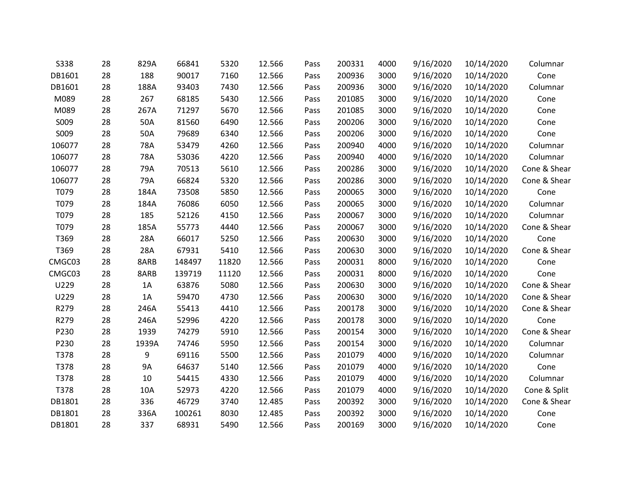| <b>S338</b> | 28 | 829A      | 66841  | 5320  | 12.566 | Pass | 200331 | 4000 | 9/16/2020 | 10/14/2020 | Columnar     |
|-------------|----|-----------|--------|-------|--------|------|--------|------|-----------|------------|--------------|
| DB1601      | 28 | 188       | 90017  | 7160  | 12.566 | Pass | 200936 | 3000 | 9/16/2020 | 10/14/2020 | Cone         |
| DB1601      | 28 | 188A      | 93403  | 7430  | 12.566 | Pass | 200936 | 3000 | 9/16/2020 | 10/14/2020 | Columnar     |
| M089        | 28 | 267       | 68185  | 5430  | 12.566 | Pass | 201085 | 3000 | 9/16/2020 | 10/14/2020 | Cone         |
| M089        | 28 | 267A      | 71297  | 5670  | 12.566 | Pass | 201085 | 3000 | 9/16/2020 | 10/14/2020 | Cone         |
| S009        | 28 | 50A       | 81560  | 6490  | 12.566 | Pass | 200206 | 3000 | 9/16/2020 | 10/14/2020 | Cone         |
| S009        | 28 | 50A       | 79689  | 6340  | 12.566 | Pass | 200206 | 3000 | 9/16/2020 | 10/14/2020 | Cone         |
| 106077      | 28 | 78A       | 53479  | 4260  | 12.566 | Pass | 200940 | 4000 | 9/16/2020 | 10/14/2020 | Columnar     |
| 106077      | 28 | 78A       | 53036  | 4220  | 12.566 | Pass | 200940 | 4000 | 9/16/2020 | 10/14/2020 | Columnar     |
| 106077      | 28 | 79A       | 70513  | 5610  | 12.566 | Pass | 200286 | 3000 | 9/16/2020 | 10/14/2020 | Cone & Shear |
| 106077      | 28 | 79A       | 66824  | 5320  | 12.566 | Pass | 200286 | 3000 | 9/16/2020 | 10/14/2020 | Cone & Shear |
| T079        | 28 | 184A      | 73508  | 5850  | 12.566 | Pass | 200065 | 3000 | 9/16/2020 | 10/14/2020 | Cone         |
| T079        | 28 | 184A      | 76086  | 6050  | 12.566 | Pass | 200065 | 3000 | 9/16/2020 | 10/14/2020 | Columnar     |
| T079        | 28 | 185       | 52126  | 4150  | 12.566 | Pass | 200067 | 3000 | 9/16/2020 | 10/14/2020 | Columnar     |
| T079        | 28 | 185A      | 55773  | 4440  | 12.566 | Pass | 200067 | 3000 | 9/16/2020 | 10/14/2020 | Cone & Shear |
| T369        | 28 | 28A       | 66017  | 5250  | 12.566 | Pass | 200630 | 3000 | 9/16/2020 | 10/14/2020 | Cone         |
| T369        | 28 | 28A       | 67931  | 5410  | 12.566 | Pass | 200630 | 3000 | 9/16/2020 | 10/14/2020 | Cone & Shear |
| CMGC03      | 28 | 8ARB      | 148497 | 11820 | 12.566 | Pass | 200031 | 8000 | 9/16/2020 | 10/14/2020 | Cone         |
| CMGC03      | 28 | 8ARB      | 139719 | 11120 | 12.566 | Pass | 200031 | 8000 | 9/16/2020 | 10/14/2020 | Cone         |
| U229        | 28 | 1A        | 63876  | 5080  | 12.566 | Pass | 200630 | 3000 | 9/16/2020 | 10/14/2020 | Cone & Shear |
| U229        | 28 | 1A        | 59470  | 4730  | 12.566 | Pass | 200630 | 3000 | 9/16/2020 | 10/14/2020 | Cone & Shear |
| R279        | 28 | 246A      | 55413  | 4410  | 12.566 | Pass | 200178 | 3000 | 9/16/2020 | 10/14/2020 | Cone & Shear |
| R279        | 28 | 246A      | 52996  | 4220  | 12.566 | Pass | 200178 | 3000 | 9/16/2020 | 10/14/2020 | Cone         |
| P230        | 28 | 1939      | 74279  | 5910  | 12.566 | Pass | 200154 | 3000 | 9/16/2020 | 10/14/2020 | Cone & Shear |
| P230        | 28 | 1939A     | 74746  | 5950  | 12.566 | Pass | 200154 | 3000 | 9/16/2020 | 10/14/2020 | Columnar     |
| T378        | 28 | 9         | 69116  | 5500  | 12.566 | Pass | 201079 | 4000 | 9/16/2020 | 10/14/2020 | Columnar     |
| T378        | 28 | <b>9A</b> | 64637  | 5140  | 12.566 | Pass | 201079 | 4000 | 9/16/2020 | 10/14/2020 | Cone         |
| T378        | 28 | 10        | 54415  | 4330  | 12.566 | Pass | 201079 | 4000 | 9/16/2020 | 10/14/2020 | Columnar     |
| T378        | 28 | 10A       | 52973  | 4220  | 12.566 | Pass | 201079 | 4000 | 9/16/2020 | 10/14/2020 | Cone & Split |
| DB1801      | 28 | 336       | 46729  | 3740  | 12.485 | Pass | 200392 | 3000 | 9/16/2020 | 10/14/2020 | Cone & Shear |
| DB1801      | 28 | 336A      | 100261 | 8030  | 12.485 | Pass | 200392 | 3000 | 9/16/2020 | 10/14/2020 | Cone         |
| DB1801      | 28 | 337       | 68931  | 5490  | 12.566 | Pass | 200169 | 3000 | 9/16/2020 | 10/14/2020 | Cone         |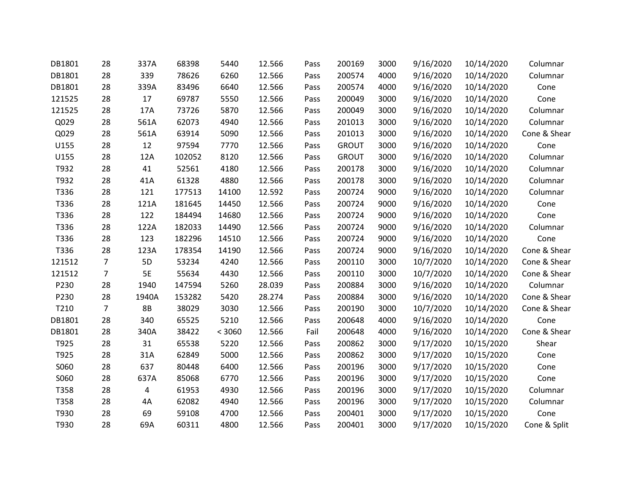| DB1801 | 28             | 337A      | 68398  | 5440   | 12.566 | Pass | 200169       | 3000 | 9/16/2020 | 10/14/2020 | Columnar     |
|--------|----------------|-----------|--------|--------|--------|------|--------------|------|-----------|------------|--------------|
| DB1801 | 28             | 339       | 78626  | 6260   | 12.566 | Pass | 200574       | 4000 | 9/16/2020 | 10/14/2020 | Columnar     |
| DB1801 | 28             | 339A      | 83496  | 6640   | 12.566 | Pass | 200574       | 4000 | 9/16/2020 | 10/14/2020 | Cone         |
| 121525 | 28             | 17        | 69787  | 5550   | 12.566 | Pass | 200049       | 3000 | 9/16/2020 | 10/14/2020 | Cone         |
| 121525 | 28             | 17A       | 73726  | 5870   | 12.566 | Pass | 200049       | 3000 | 9/16/2020 | 10/14/2020 | Columnar     |
| Q029   | 28             | 561A      | 62073  | 4940   | 12.566 | Pass | 201013       | 3000 | 9/16/2020 | 10/14/2020 | Columnar     |
| Q029   | 28             | 561A      | 63914  | 5090   | 12.566 | Pass | 201013       | 3000 | 9/16/2020 | 10/14/2020 | Cone & Shear |
| U155   | 28             | 12        | 97594  | 7770   | 12.566 | Pass | <b>GROUT</b> | 3000 | 9/16/2020 | 10/14/2020 | Cone         |
| U155   | 28             | 12A       | 102052 | 8120   | 12.566 | Pass | <b>GROUT</b> | 3000 | 9/16/2020 | 10/14/2020 | Columnar     |
| T932   | 28             | 41        | 52561  | 4180   | 12.566 | Pass | 200178       | 3000 | 9/16/2020 | 10/14/2020 | Columnar     |
| T932   | 28             | 41A       | 61328  | 4880   | 12.566 | Pass | 200178       | 3000 | 9/16/2020 | 10/14/2020 | Columnar     |
| T336   | 28             | 121       | 177513 | 14100  | 12.592 | Pass | 200724       | 9000 | 9/16/2020 | 10/14/2020 | Columnar     |
| T336   | 28             | 121A      | 181645 | 14450  | 12.566 | Pass | 200724       | 9000 | 9/16/2020 | 10/14/2020 | Cone         |
| T336   | 28             | 122       | 184494 | 14680  | 12.566 | Pass | 200724       | 9000 | 9/16/2020 | 10/14/2020 | Cone         |
| T336   | 28             | 122A      | 182033 | 14490  | 12.566 | Pass | 200724       | 9000 | 9/16/2020 | 10/14/2020 | Columnar     |
| T336   | 28             | 123       | 182296 | 14510  | 12.566 | Pass | 200724       | 9000 | 9/16/2020 | 10/14/2020 | Cone         |
| T336   | 28             | 123A      | 178354 | 14190  | 12.566 | Pass | 200724       | 9000 | 9/16/2020 | 10/14/2020 | Cone & Shear |
| 121512 | $\overline{7}$ | 5D        | 53234  | 4240   | 12.566 | Pass | 200110       | 3000 | 10/7/2020 | 10/14/2020 | Cone & Shear |
| 121512 | $\overline{7}$ | 5E        | 55634  | 4430   | 12.566 | Pass | 200110       | 3000 | 10/7/2020 | 10/14/2020 | Cone & Shear |
| P230   | 28             | 1940      | 147594 | 5260   | 28.039 | Pass | 200884       | 3000 | 9/16/2020 | 10/14/2020 | Columnar     |
| P230   | 28             | 1940A     | 153282 | 5420   | 28.274 | Pass | 200884       | 3000 | 9/16/2020 | 10/14/2020 | Cone & Shear |
| T210   | 7              | <b>8B</b> | 38029  | 3030   | 12.566 | Pass | 200190       | 3000 | 10/7/2020 | 10/14/2020 | Cone & Shear |
| DB1801 | 28             | 340       | 65525  | 5210   | 12.566 | Pass | 200648       | 4000 | 9/16/2020 | 10/14/2020 | Cone         |
| DB1801 | 28             | 340A      | 38422  | < 3060 | 12.566 | Fail | 200648       | 4000 | 9/16/2020 | 10/14/2020 | Cone & Shear |
| T925   | 28             | 31        | 65538  | 5220   | 12.566 | Pass | 200862       | 3000 | 9/17/2020 | 10/15/2020 | Shear        |
| T925   | 28             | 31A       | 62849  | 5000   | 12.566 | Pass | 200862       | 3000 | 9/17/2020 | 10/15/2020 | Cone         |
| S060   | 28             | 637       | 80448  | 6400   | 12.566 | Pass | 200196       | 3000 | 9/17/2020 | 10/15/2020 | Cone         |
| S060   | 28             | 637A      | 85068  | 6770   | 12.566 | Pass | 200196       | 3000 | 9/17/2020 | 10/15/2020 | Cone         |
| T358   | 28             | 4         | 61953  | 4930   | 12.566 | Pass | 200196       | 3000 | 9/17/2020 | 10/15/2020 | Columnar     |
| T358   | 28             | 4A        | 62082  | 4940   | 12.566 | Pass | 200196       | 3000 | 9/17/2020 | 10/15/2020 | Columnar     |
| T930   | 28             | 69        | 59108  | 4700   | 12.566 | Pass | 200401       | 3000 | 9/17/2020 | 10/15/2020 | Cone         |
| T930   | 28             | 69A       | 60311  | 4800   | 12.566 | Pass | 200401       | 3000 | 9/17/2020 | 10/15/2020 | Cone & Split |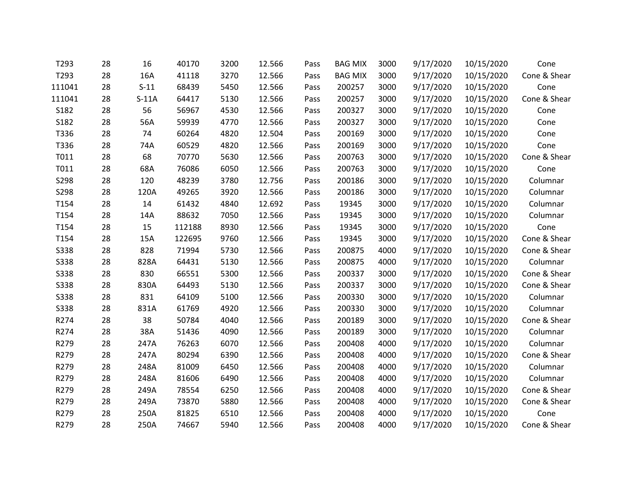| T293        | 28 | 16      | 40170  | 3200 | 12.566 | Pass | <b>BAG MIX</b> | 3000 | 9/17/2020 | 10/15/2020 | Cone         |
|-------------|----|---------|--------|------|--------|------|----------------|------|-----------|------------|--------------|
| T293        | 28 | 16A     | 41118  | 3270 | 12.566 | Pass | <b>BAG MIX</b> | 3000 | 9/17/2020 | 10/15/2020 | Cone & Shear |
| 111041      | 28 | $S-11$  | 68439  | 5450 | 12.566 | Pass | 200257         | 3000 | 9/17/2020 | 10/15/2020 | Cone         |
| 111041      | 28 | $S-11A$ | 64417  | 5130 | 12.566 | Pass | 200257         | 3000 | 9/17/2020 | 10/15/2020 | Cone & Shear |
| S182        | 28 | 56      | 56967  | 4530 | 12.566 | Pass | 200327         | 3000 | 9/17/2020 | 10/15/2020 | Cone         |
| S182        | 28 | 56A     | 59939  | 4770 | 12.566 | Pass | 200327         | 3000 | 9/17/2020 | 10/15/2020 | Cone         |
| T336        | 28 | 74      | 60264  | 4820 | 12.504 | Pass | 200169         | 3000 | 9/17/2020 | 10/15/2020 | Cone         |
| T336        | 28 | 74A     | 60529  | 4820 | 12.566 | Pass | 200169         | 3000 | 9/17/2020 | 10/15/2020 | Cone         |
| T011        | 28 | 68      | 70770  | 5630 | 12.566 | Pass | 200763         | 3000 | 9/17/2020 | 10/15/2020 | Cone & Shear |
| T011        | 28 | 68A     | 76086  | 6050 | 12.566 | Pass | 200763         | 3000 | 9/17/2020 | 10/15/2020 | Cone         |
| S298        | 28 | 120     | 48239  | 3780 | 12.756 | Pass | 200186         | 3000 | 9/17/2020 | 10/15/2020 | Columnar     |
| S298        | 28 | 120A    | 49265  | 3920 | 12.566 | Pass | 200186         | 3000 | 9/17/2020 | 10/15/2020 | Columnar     |
| T154        | 28 | 14      | 61432  | 4840 | 12.692 | Pass | 19345          | 3000 | 9/17/2020 | 10/15/2020 | Columnar     |
| T154        | 28 | 14A     | 88632  | 7050 | 12.566 | Pass | 19345          | 3000 | 9/17/2020 | 10/15/2020 | Columnar     |
| T154        | 28 | 15      | 112188 | 8930 | 12.566 | Pass | 19345          | 3000 | 9/17/2020 | 10/15/2020 | Cone         |
| T154        | 28 | 15A     | 122695 | 9760 | 12.566 | Pass | 19345          | 3000 | 9/17/2020 | 10/15/2020 | Cone & Shear |
| <b>S338</b> | 28 | 828     | 71994  | 5730 | 12.566 | Pass | 200875         | 4000 | 9/17/2020 | 10/15/2020 | Cone & Shear |
| <b>S338</b> | 28 | 828A    | 64431  | 5130 | 12.566 | Pass | 200875         | 4000 | 9/17/2020 | 10/15/2020 | Columnar     |
| <b>S338</b> | 28 | 830     | 66551  | 5300 | 12.566 | Pass | 200337         | 3000 | 9/17/2020 | 10/15/2020 | Cone & Shear |
| <b>S338</b> | 28 | 830A    | 64493  | 5130 | 12.566 | Pass | 200337         | 3000 | 9/17/2020 | 10/15/2020 | Cone & Shear |
| <b>S338</b> | 28 | 831     | 64109  | 5100 | 12.566 | Pass | 200330         | 3000 | 9/17/2020 | 10/15/2020 | Columnar     |
| <b>S338</b> | 28 | 831A    | 61769  | 4920 | 12.566 | Pass | 200330         | 3000 | 9/17/2020 | 10/15/2020 | Columnar     |
| R274        | 28 | 38      | 50784  | 4040 | 12.566 | Pass | 200189         | 3000 | 9/17/2020 | 10/15/2020 | Cone & Shear |
| R274        | 28 | 38A     | 51436  | 4090 | 12.566 | Pass | 200189         | 3000 | 9/17/2020 | 10/15/2020 | Columnar     |
| R279        | 28 | 247A    | 76263  | 6070 | 12.566 | Pass | 200408         | 4000 | 9/17/2020 | 10/15/2020 | Columnar     |
| R279        | 28 | 247A    | 80294  | 6390 | 12.566 | Pass | 200408         | 4000 | 9/17/2020 | 10/15/2020 | Cone & Shear |
| R279        | 28 | 248A    | 81009  | 6450 | 12.566 | Pass | 200408         | 4000 | 9/17/2020 | 10/15/2020 | Columnar     |
| R279        | 28 | 248A    | 81606  | 6490 | 12.566 | Pass | 200408         | 4000 | 9/17/2020 | 10/15/2020 | Columnar     |
| R279        | 28 | 249A    | 78554  | 6250 | 12.566 | Pass | 200408         | 4000 | 9/17/2020 | 10/15/2020 | Cone & Shear |
| R279        | 28 | 249A    | 73870  | 5880 | 12.566 | Pass | 200408         | 4000 | 9/17/2020 | 10/15/2020 | Cone & Shear |
| R279        | 28 | 250A    | 81825  | 6510 | 12.566 | Pass | 200408         | 4000 | 9/17/2020 | 10/15/2020 | Cone         |
| R279        | 28 | 250A    | 74667  | 5940 | 12.566 | Pass | 200408         | 4000 | 9/17/2020 | 10/15/2020 | Cone & Shear |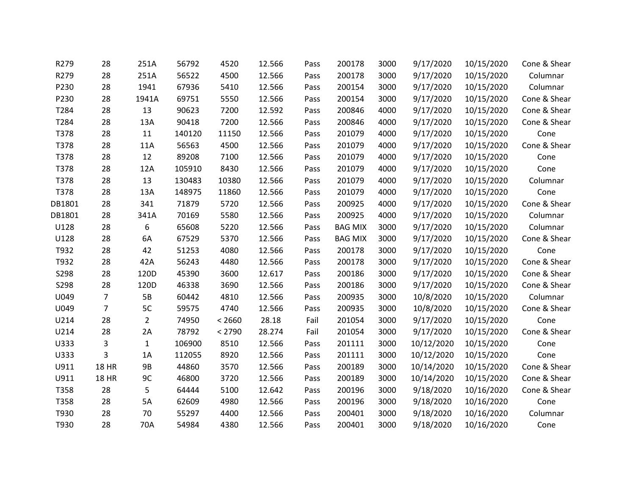| R279   | 28             | 251A           | 56792  | 4520   | 12.566 | Pass | 200178         | 3000 | 9/17/2020  | 10/15/2020 | Cone & Shear |
|--------|----------------|----------------|--------|--------|--------|------|----------------|------|------------|------------|--------------|
| R279   | 28             | 251A           | 56522  | 4500   | 12.566 | Pass | 200178         | 3000 | 9/17/2020  | 10/15/2020 | Columnar     |
| P230   | 28             | 1941           | 67936  | 5410   | 12.566 | Pass | 200154         | 3000 | 9/17/2020  | 10/15/2020 | Columnar     |
| P230   | 28             | 1941A          | 69751  | 5550   | 12.566 | Pass | 200154         | 3000 | 9/17/2020  | 10/15/2020 | Cone & Shear |
| T284   | 28             | 13             | 90623  | 7200   | 12.592 | Pass | 200846         | 4000 | 9/17/2020  | 10/15/2020 | Cone & Shear |
| T284   | 28             | 13A            | 90418  | 7200   | 12.566 | Pass | 200846         | 4000 | 9/17/2020  | 10/15/2020 | Cone & Shear |
| T378   | 28             | 11             | 140120 | 11150  | 12.566 | Pass | 201079         | 4000 | 9/17/2020  | 10/15/2020 | Cone         |
| T378   | 28             | 11A            | 56563  | 4500   | 12.566 | Pass | 201079         | 4000 | 9/17/2020  | 10/15/2020 | Cone & Shear |
| T378   | 28             | 12             | 89208  | 7100   | 12.566 | Pass | 201079         | 4000 | 9/17/2020  | 10/15/2020 | Cone         |
| T378   | 28             | 12A            | 105910 | 8430   | 12.566 | Pass | 201079         | 4000 | 9/17/2020  | 10/15/2020 | Cone         |
| T378   | 28             | 13             | 130483 | 10380  | 12.566 | Pass | 201079         | 4000 | 9/17/2020  | 10/15/2020 | Columnar     |
| T378   | 28             | 13A            | 148975 | 11860  | 12.566 | Pass | 201079         | 4000 | 9/17/2020  | 10/15/2020 | Cone         |
| DB1801 | 28             | 341            | 71879  | 5720   | 12.566 | Pass | 200925         | 4000 | 9/17/2020  | 10/15/2020 | Cone & Shear |
| DB1801 | 28             | 341A           | 70169  | 5580   | 12.566 | Pass | 200925         | 4000 | 9/17/2020  | 10/15/2020 | Columnar     |
| U128   | 28             | 6              | 65608  | 5220   | 12.566 | Pass | <b>BAG MIX</b> | 3000 | 9/17/2020  | 10/15/2020 | Columnar     |
| U128   | 28             | 6A             | 67529  | 5370   | 12.566 | Pass | <b>BAG MIX</b> | 3000 | 9/17/2020  | 10/15/2020 | Cone & Shear |
| T932   | 28             | 42             | 51253  | 4080   | 12.566 | Pass | 200178         | 3000 | 9/17/2020  | 10/15/2020 | Cone         |
| T932   | 28             | 42A            | 56243  | 4480   | 12.566 | Pass | 200178         | 3000 | 9/17/2020  | 10/15/2020 | Cone & Shear |
| S298   | 28             | 120D           | 45390  | 3600   | 12.617 | Pass | 200186         | 3000 | 9/17/2020  | 10/15/2020 | Cone & Shear |
| S298   | 28             | 120D           | 46338  | 3690   | 12.566 | Pass | 200186         | 3000 | 9/17/2020  | 10/15/2020 | Cone & Shear |
| U049   | $\overline{7}$ | 5B             | 60442  | 4810   | 12.566 | Pass | 200935         | 3000 | 10/8/2020  | 10/15/2020 | Columnar     |
| U049   | $\overline{7}$ | 5C             | 59575  | 4740   | 12.566 | Pass | 200935         | 3000 | 10/8/2020  | 10/15/2020 | Cone & Shear |
| U214   | 28             | $\overline{2}$ | 74950  | < 2660 | 28.18  | Fail | 201054         | 3000 | 9/17/2020  | 10/15/2020 | Cone         |
| U214   | 28             | 2A             | 78792  | < 2790 | 28.274 | Fail | 201054         | 3000 | 9/17/2020  | 10/15/2020 | Cone & Shear |
| U333   | 3              | $\mathbf{1}$   | 106900 | 8510   | 12.566 | Pass | 201111         | 3000 | 10/12/2020 | 10/15/2020 | Cone         |
| U333   | 3              | 1A             | 112055 | 8920   | 12.566 | Pass | 201111         | 3000 | 10/12/2020 | 10/15/2020 | Cone         |
| U911   | <b>18 HR</b>   | 9B             | 44860  | 3570   | 12.566 | Pass | 200189         | 3000 | 10/14/2020 | 10/15/2020 | Cone & Shear |
| U911   | <b>18 HR</b>   | 9C             | 46800  | 3720   | 12.566 | Pass | 200189         | 3000 | 10/14/2020 | 10/15/2020 | Cone & Shear |
| T358   | 28             | 5              | 64444  | 5100   | 12.642 | Pass | 200196         | 3000 | 9/18/2020  | 10/16/2020 | Cone & Shear |
| T358   | 28             | 5A             | 62609  | 4980   | 12.566 | Pass | 200196         | 3000 | 9/18/2020  | 10/16/2020 | Cone         |
| T930   | 28             | 70             | 55297  | 4400   | 12.566 | Pass | 200401         | 3000 | 9/18/2020  | 10/16/2020 | Columnar     |
| T930   | 28             | 70A            | 54984  | 4380   | 12.566 | Pass | 200401         | 3000 | 9/18/2020  | 10/16/2020 | Cone         |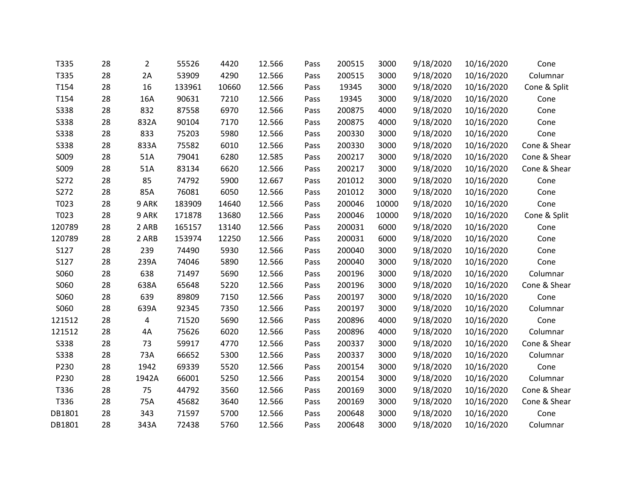| T335        | 28 | $\overline{2}$ | 55526  | 4420  | 12.566 | Pass | 200515 | 3000  | 9/18/2020 | 10/16/2020 | Cone         |
|-------------|----|----------------|--------|-------|--------|------|--------|-------|-----------|------------|--------------|
| T335        | 28 | 2A             | 53909  | 4290  | 12.566 | Pass | 200515 | 3000  | 9/18/2020 | 10/16/2020 | Columnar     |
| T154        | 28 | 16             | 133961 | 10660 | 12.566 | Pass | 19345  | 3000  | 9/18/2020 | 10/16/2020 | Cone & Split |
| T154        | 28 | 16A            | 90631  | 7210  | 12.566 | Pass | 19345  | 3000  | 9/18/2020 | 10/16/2020 | Cone         |
| S338        | 28 | 832            | 87558  | 6970  | 12.566 | Pass | 200875 | 4000  | 9/18/2020 | 10/16/2020 | Cone         |
| S338        | 28 | 832A           | 90104  | 7170  | 12.566 | Pass | 200875 | 4000  | 9/18/2020 | 10/16/2020 | Cone         |
| S338        | 28 | 833            | 75203  | 5980  | 12.566 | Pass | 200330 | 3000  | 9/18/2020 | 10/16/2020 | Cone         |
| S338        | 28 | 833A           | 75582  | 6010  | 12.566 | Pass | 200330 | 3000  | 9/18/2020 | 10/16/2020 | Cone & Shear |
| S009        | 28 | 51A            | 79041  | 6280  | 12.585 | Pass | 200217 | 3000  | 9/18/2020 | 10/16/2020 | Cone & Shear |
| S009        | 28 | 51A            | 83134  | 6620  | 12.566 | Pass | 200217 | 3000  | 9/18/2020 | 10/16/2020 | Cone & Shear |
| S272        | 28 | 85             | 74792  | 5900  | 12.667 | Pass | 201012 | 3000  | 9/18/2020 | 10/16/2020 | Cone         |
| S272        | 28 | 85A            | 76081  | 6050  | 12.566 | Pass | 201012 | 3000  | 9/18/2020 | 10/16/2020 | Cone         |
| T023        | 28 | 9 ARK          | 183909 | 14640 | 12.566 | Pass | 200046 | 10000 | 9/18/2020 | 10/16/2020 | Cone         |
| T023        | 28 | 9 ARK          | 171878 | 13680 | 12.566 | Pass | 200046 | 10000 | 9/18/2020 | 10/16/2020 | Cone & Split |
| 120789      | 28 | 2 ARB          | 165157 | 13140 | 12.566 | Pass | 200031 | 6000  | 9/18/2020 | 10/16/2020 | Cone         |
| 120789      | 28 | 2 ARB          | 153974 | 12250 | 12.566 | Pass | 200031 | 6000  | 9/18/2020 | 10/16/2020 | Cone         |
| S127        | 28 | 239            | 74490  | 5930  | 12.566 | Pass | 200040 | 3000  | 9/18/2020 | 10/16/2020 | Cone         |
| S127        | 28 | 239A           | 74046  | 5890  | 12.566 | Pass | 200040 | 3000  | 9/18/2020 | 10/16/2020 | Cone         |
| S060        | 28 | 638            | 71497  | 5690  | 12.566 | Pass | 200196 | 3000  | 9/18/2020 | 10/16/2020 | Columnar     |
| S060        | 28 | 638A           | 65648  | 5220  | 12.566 | Pass | 200196 | 3000  | 9/18/2020 | 10/16/2020 | Cone & Shear |
| S060        | 28 | 639            | 89809  | 7150  | 12.566 | Pass | 200197 | 3000  | 9/18/2020 | 10/16/2020 | Cone         |
| S060        | 28 | 639A           | 92345  | 7350  | 12.566 | Pass | 200197 | 3000  | 9/18/2020 | 10/16/2020 | Columnar     |
| 121512      | 28 | 4              | 71520  | 5690  | 12.566 | Pass | 200896 | 4000  | 9/18/2020 | 10/16/2020 | Cone         |
| 121512      | 28 | 4A             | 75626  | 6020  | 12.566 | Pass | 200896 | 4000  | 9/18/2020 | 10/16/2020 | Columnar     |
| <b>S338</b> | 28 | 73             | 59917  | 4770  | 12.566 | Pass | 200337 | 3000  | 9/18/2020 | 10/16/2020 | Cone & Shear |
| <b>S338</b> | 28 | 73A            | 66652  | 5300  | 12.566 | Pass | 200337 | 3000  | 9/18/2020 | 10/16/2020 | Columnar     |
| P230        | 28 | 1942           | 69339  | 5520  | 12.566 | Pass | 200154 | 3000  | 9/18/2020 | 10/16/2020 | Cone         |
| P230        | 28 | 1942A          | 66001  | 5250  | 12.566 | Pass | 200154 | 3000  | 9/18/2020 | 10/16/2020 | Columnar     |
| T336        | 28 | 75             | 44792  | 3560  | 12.566 | Pass | 200169 | 3000  | 9/18/2020 | 10/16/2020 | Cone & Shear |
| T336        | 28 | 75A            | 45682  | 3640  | 12.566 | Pass | 200169 | 3000  | 9/18/2020 | 10/16/2020 | Cone & Shear |
| DB1801      | 28 | 343            | 71597  | 5700  | 12.566 | Pass | 200648 | 3000  | 9/18/2020 | 10/16/2020 | Cone         |
| DB1801      | 28 | 343A           | 72438  | 5760  | 12.566 | Pass | 200648 | 3000  | 9/18/2020 | 10/16/2020 | Columnar     |